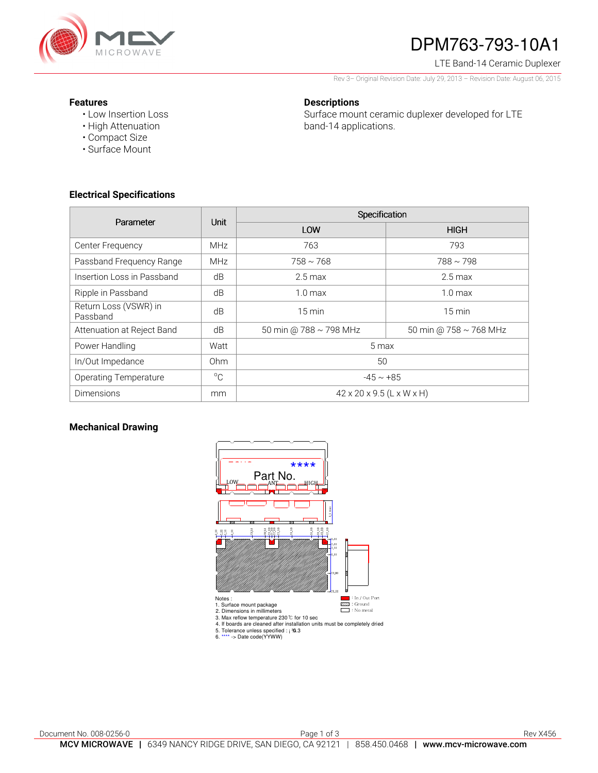

# DPM763-793-10A1

LTE Band-14 Ceramic Duplexer

Rev 3– Original Revision Date: July 29, 2013 – Revision Date: August 06, 2015

### **Features**

• Low Insertion Loss • High Attenuation

• Compact Size • Surface Mount

### **Descriptions**

Surface mount ceramic duplexer developed for LTE band-14 applications.

**Electrical Specifications** 

| Parameter                         | Unit            | Specification                         |                        |
|-----------------------------------|-----------------|---------------------------------------|------------------------|
|                                   |                 | LOW                                   | <b>HIGH</b>            |
| Center Frequency                  | <b>MHz</b>      | 763                                   | 793                    |
| Passband Frequency Range          | <b>MHz</b>      | $758 \sim 768$                        | $788 \sim 798$         |
| Insertion Loss in Passband        | dB              | $2.5 \,\mathrm{max}$                  | $2.5 \text{ max}$      |
| Ripple in Passband                | dB              | $1.0 \text{ max}$                     | $1.0 \text{ max}$      |
| Return Loss (VSWR) in<br>Passband | dB              | $15 \text{ min}$                      | $15 \text{ min}$       |
| Attenuation at Reject Band        | dB              | 50 min @ 788 ~ 798 MHz                | 50 min @ 758 ~ 768 MHz |
| Power Handling                    | Watt            | 5 max                                 |                        |
| In/Out Impedance                  | 0 <sub>hm</sub> | 50                                    |                        |
| <b>Operating Temperature</b>      | $^{\circ}C$     | $-45 \sim +85$                        |                        |
| <b>Dimensions</b>                 | mm              | $42 \times 20 \times 9.5$ (L x W x H) |                        |

### **Mechanical Drawing**

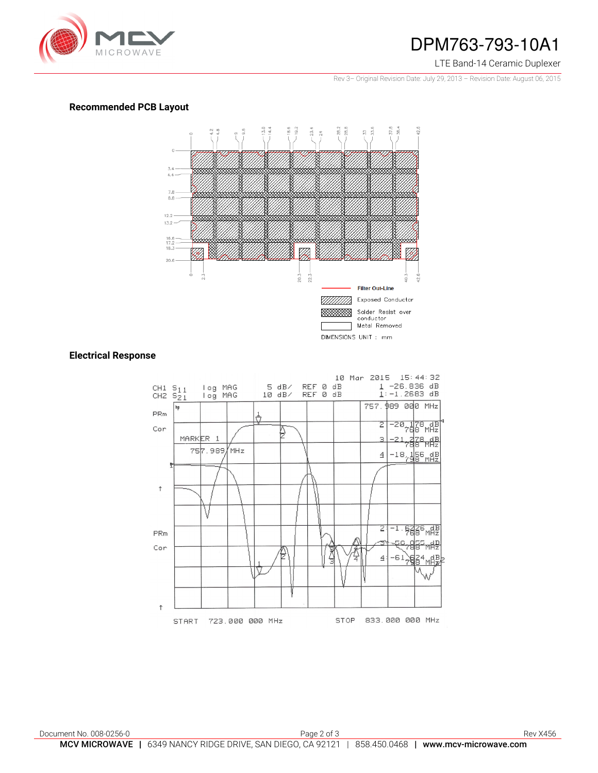

## DPM763-793-10A1

#### LTE Band-14 Ceramic Duplexer

Rev 3– Original Revision Date: July 29, 2013 – Revision Date: August 06, 2015

## **Recommended PCB Layout**



#### **Electrical Response**